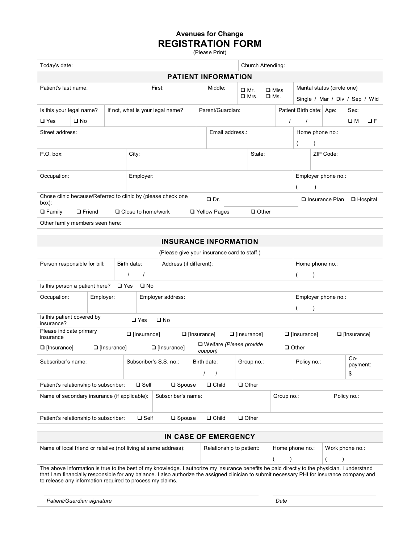# **Avenues for Change REGISTRATION FORM**

(Please Print)

| Today's date:                                                                       |               |  |                                                      |                              |                     | Church Attending:        |              |                                |  |                     |                             |                       |          |                 |
|-------------------------------------------------------------------------------------|---------------|--|------------------------------------------------------|------------------------------|---------------------|--------------------------|--------------|--------------------------------|--|---------------------|-----------------------------|-----------------------|----------|-----------------|
| <b>PATIENT INFORMATION</b>                                                          |               |  |                                                      |                              |                     |                          |              |                                |  |                     |                             |                       |          |                 |
| Patient's last name:                                                                |               |  | First:                                               |                              | Middle:             |                          | $\Box$ Mr.   | $\square$ Miss                 |  |                     | Marital status (circle one) |                       |          |                 |
|                                                                                     |               |  |                                                      | $\square$ Ms.<br>$\Box$ Mrs. |                     |                          |              | Single / Mar / Div / Sep / Wid |  |                     |                             |                       |          |                 |
| Is this your legal name?                                                            |               |  | Parent/Guardian:<br>If not, what is your legal name? |                              |                     | Patient Birth date: Age: |              |                                |  |                     |                             | Sex:                  |          |                 |
| $\Box$ Yes                                                                          | $\square$ No  |  |                                                      |                              |                     |                          |              |                                |  |                     |                             | $\square$ M           | $\Box F$ |                 |
| Street address:                                                                     |               |  |                                                      |                              | Email address.:     |                          |              |                                |  | Home phone no.:     |                             |                       |          |                 |
|                                                                                     |               |  |                                                      |                              |                     |                          |              |                                |  |                     |                             |                       |          |                 |
| City:<br>$P.O.$ box:                                                                |               |  |                                                      |                              |                     |                          |              | State:                         |  |                     | ZIP Code:                   |                       |          |                 |
|                                                                                     |               |  |                                                      |                              |                     |                          |              |                                |  |                     |                             |                       |          |                 |
| Occupation:<br>Employer:                                                            |               |  |                                                      |                              |                     |                          |              |                                |  | Employer phone no.: |                             |                       |          |                 |
|                                                                                     |               |  |                                                      |                              |                     |                          |              |                                |  |                     |                             |                       |          |                 |
| Chose clinic because/Referred to clinic by (please check one<br>$\Box$ Dr.<br>box): |               |  |                                                      |                              |                     |                          |              |                                |  |                     |                             | $\Box$ Insurance Plan |          | $\Box$ Hospital |
| $\Box$ Family                                                                       | $\Box$ Friend |  | $\Box$ Close to home/work                            |                              | $\Box$ Yellow Pages |                          | $\Box$ Other |                                |  |                     |                             |                       |          |                 |
| Other family members seen here:                                                     |               |  |                                                      |                              |                     |                          |              |                                |  |                     |                             |                       |          |                 |

| <b>INSURANCE INFORMATION</b>                                                                                                                       |  |  |                        |                         |                 |            |  |             |                     |                   |  |  |
|----------------------------------------------------------------------------------------------------------------------------------------------------|--|--|------------------------|-------------------------|-----------------|------------|--|-------------|---------------------|-------------------|--|--|
| (Please give your insurance card to staff.)                                                                                                        |  |  |                        |                         |                 |            |  |             |                     |                   |  |  |
| Person responsible for bill:<br>Birth date:                                                                                                        |  |  |                        | Address (if different): | Home phone no.: |            |  |             |                     |                   |  |  |
|                                                                                                                                                    |  |  |                        |                         | $\mathcal{L}$   |            |  |             |                     |                   |  |  |
| Is this person a patient here?<br>$\square$ Yes<br>$\square$ No                                                                                    |  |  |                        |                         |                 |            |  |             |                     |                   |  |  |
| Occupation:<br>Employer:                                                                                                                           |  |  |                        | Employer address:       |                 |            |  |             | Employer phone no.: |                   |  |  |
|                                                                                                                                                    |  |  |                        |                         |                 |            |  |             |                     |                   |  |  |
| Is this patient covered by<br>$\square$ No<br>$\square$ Yes<br>insurance?                                                                          |  |  |                        |                         |                 |            |  |             |                     |                   |  |  |
| Please indicate primary<br>$\Box$ [Insurance]<br>$\Box$ [Insurance]<br>$\Box$ [Insurance]<br>$\Box$ [Insurance]<br>$\Box$ [Insurance]<br>insurance |  |  |                        |                         |                 |            |  |             |                     |                   |  |  |
| $\Box$ Welfare (Please provide<br>$\Box$ [Insurance]<br>$\Box$ Other<br>$\Box$ [Insurance]<br>$\Box$ [Insurance]<br>coupon)                        |  |  |                        |                         |                 |            |  |             |                     |                   |  |  |
| Subscriber's name:                                                                                                                                 |  |  | Subscriber's S.S. no.: |                         | Birth date:     | Group no.: |  | Policy no.: |                     | $Co-$<br>payment: |  |  |
|                                                                                                                                                    |  |  |                        |                         |                 |            |  |             |                     | \$                |  |  |
| $\square$ Self<br>$\Box$ Child<br>$\Box$ Other<br>Patient's relationship to subscriber:<br>$\square$ Spouse                                        |  |  |                        |                         |                 |            |  |             |                     |                   |  |  |
| Name of secondary insurance (if applicable):                                                                                                       |  |  |                        | Subscriber's name:      |                 |            |  | Group no.:  |                     | Policy no.:       |  |  |
| $\square$ Self<br>$\square$ Spouse<br>$\Box$ Child<br>$\Box$ Other<br>Patient's relationship to subscriber:                                        |  |  |                        |                         |                 |            |  |             |                     |                   |  |  |

| IN CASE OF EMERGENCY                                                                                                                                                                                                                                                                                                                                      |                          |                 |                 |  |  |  |  |  |  |
|-----------------------------------------------------------------------------------------------------------------------------------------------------------------------------------------------------------------------------------------------------------------------------------------------------------------------------------------------------------|--------------------------|-----------------|-----------------|--|--|--|--|--|--|
| Name of local friend or relative (not living at same address):                                                                                                                                                                                                                                                                                            | Relationship to patient: | Home phone no.: | Work phone no.: |  |  |  |  |  |  |
|                                                                                                                                                                                                                                                                                                                                                           |                          |                 |                 |  |  |  |  |  |  |
| The above information is true to the best of my knowledge. I authorize my insurance benefits be paid directly to the physician. I understand<br>that I am financially responsible for any balance. I also authorize the assigned clinician to submit necessary PHI for insurance company and<br>to release any information required to process my claims. |                          |                 |                 |  |  |  |  |  |  |
| Patient/Guardian signature                                                                                                                                                                                                                                                                                                                                | Date                     |                 |                 |  |  |  |  |  |  |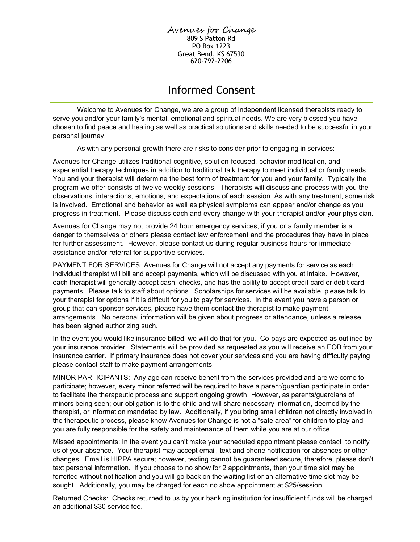Avenues for Change 809 S Patton Rd PO Box 1223 Great Bend, KS 67530 620-792-2206

# In[formed Cons](mailto:HHR@hhrts.net)ent

Welcome to Avenues for Change, [we are a group o](mailto:Info@hhrts.net)f independent licensed therapists ready to serve you and/or your family's mental, emotional and spiritual needs. We are very blessed you have chosen to find peace and healing as well as practical solutions and skills needed to be successful in your personal journey.

As with any personal growth there are risks to consider prior to engaging in services:

Avenues for Change utilizes traditional cognitive, solution-focused, behavior modification, and experiential therapy techniques in addition to traditional talk therapy to meet individual or family needs. You and your therapist will determine the best form of treatment for you and your family. Typically the program we offer consists of twelve weekly sessions. Therapists will discuss and process with you the observations, interactions, emotions, and expectations of each session. As with any treatment, some risk is involved. Emotional and behavior as well as physical symptoms can appear and/or change as you progress in treatment. Please discuss each and every change with your therapist and/or your physician.

Avenues for Change may not provide 24 hour emergency services, if you or a family member is a danger to themselves or others please contact law enforcement and the procedures they have in place for further assessment. However, please contact us during regular business hours for immediate assistance and/or referral for supportive services

PAYMENT FOR SERVICES: Avenues for Change will not accept any payments for service as each individual therapist will bill and accept payments, which will be discussed with you at intake. However, each therapist will generally accept cash, checks, and has the ability to accept credit card or debit card payments. Please talk to staff about options. Scholarships for services will be available, please talk to your therapist for options if it is difficult for you to pay for services In the event you have a person or group that can sponsor services, please have them contact the therapist to make payment arrangements. No personal information will be given about progress or attendance, unless a release has been signed authorizing such.

In the event you would like insurance billed, we will do that for you. Co-pays are expected as outlined by your insurance provider. Statements will be provided as requested as you will receive an EOB from your insurance carrier. If primary insurance does not cover your services and you are having difficulty paying please contact staff to make payment arrangements.

MINOR PARTICIPANTS: Any age can receive benefit from the services provided and are welcome to participate; however, every minor referred will be required to have a parent/guardian participate in order to facilitate the therapeutic process and support ongoing growth. However, as parents/guardians of minors being seen; our obligation is to the child and will share necessary information, deemed by the therapist, or information mandated by law. Additionally, if you bring small children not directly involved in the therapeutic process, please know Avenues for Change is not a "safe area" for children to play and you are fully responsible for the safety and maintenance of them while you are at our office.

Missed appointments: In the event you can't make your scheduled appointment please contact to notify us of your absence. Your therapist may accept email, text and phone notification for absences or other changes. Email is HIPPA secure; however, texting cannot be guaranteed secure, therefore, please don't text personal information. If you choose to no show for 2 appointments, then your time slot may be forfeited without notification and you will go back on the waiting list or an alternative time slot may be sought. Additionally, you may be charged for each no show appointment at \$25/session.

Returned Checks: Checks returned to us by your banking institution for insufficient funds will be charged an additional \$30 service fee.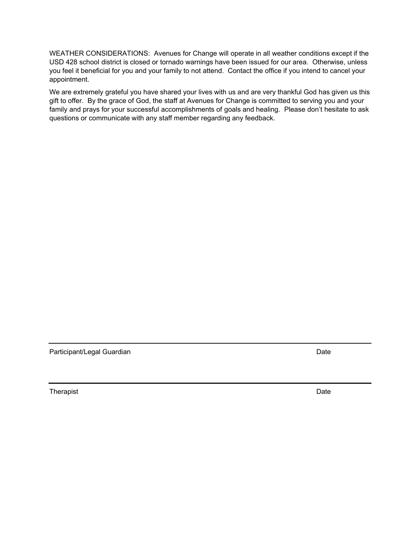WEATHER CONSIDERATIONS: Avenues for Change will operate in all weather conditions except if the USD 428 school district is closed or tornado warnings have been issued for our area. Otherwise, unless you feel it beneficial for you and your family to not attend. Contact the office if you intend to cancel your appointment.

We are extremely grateful you have shared your lives with us and are very thankful God has given us this gift to offer. By the grace of God, the staff at Avenues for Change is committed to serving you and your family and prays for your successful accomplishments of goals and healing. Please don't hesitate to ask questions or communicate with any staff member regarding any feedback.

Participant/Legal Guardian Date Controller and Date Date Date Date Date

**Therapist** Date **Date 2018**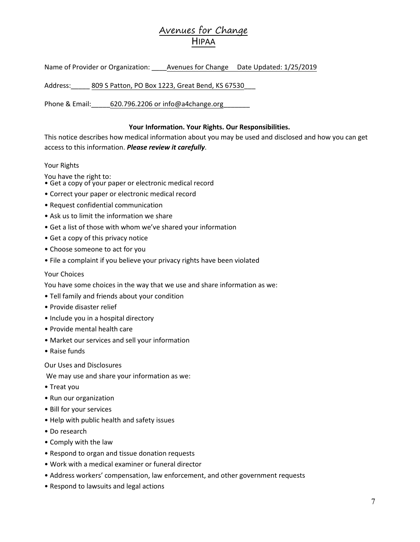# Avenues for Change HIPAA

Name of Provider or Organization: \_\_\_\_Avenues for Change Date Updated: 1/25/2019

Address:\_\_\_\_\_\_ 809 S Patton, PO Box 1223, Great Bend, KS 67530\_

Phone & Email: \_\_\_\_\_ 620.796.2206 or info@a4change.org\_

#### **Your Information. Your Rights. Our Responsibilities.**

This notice describes how medical information about you may be used and disclosed and how you can get access to this information. *Please review it carefully*.

# Your Rights

You have the right to:

- Get a copy of your paper or electronic medical record
- Correct your paper or electronic medical record
- Request confidential communication
- Ask us to limit the information we share
- Get a list of those with whom we've shared your information
- Get a copy of this privacy notice
- Choose someone to act for you
- File a complaint if you believe your privacy rights have been violated

#### Your Choices

You have some choices in the way that we use and share information as we:

- Tell family and friends about your condition
- Provide disaster relief
- Include you in a hospital directory
- Provide mental health care
- Market our services and sell your information
- Raise funds

#### Our Uses and Disclosures

We may use and share your information as we:

- Treat you
- Run our organization
- Bill for your services
- Help with public health and safety issues
- Do research
- Comply with the law
- Respond to organ and tissue donation requests
- Work with a medical examiner or funeral director
- Address workers' compensation, law enforcement, and other government requests
- Respond to lawsuits and legal actions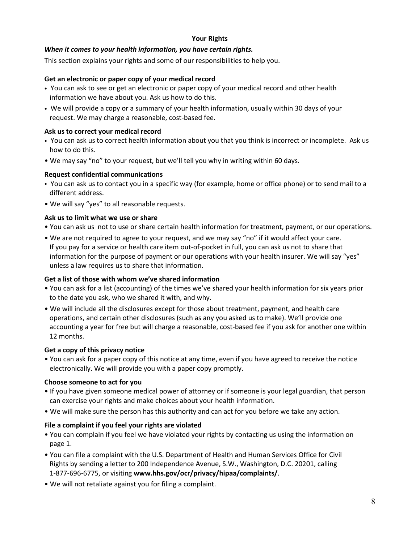# **Your Rights**

# *When it comes to your health information, you have certain rights.*

This section explains your rights and some of our responsibilities to help you.

# **Get an electronic or paper copy of your medical record**

- You can ask to see or get an electronic or paper copy of your medical record and other health information we have about you. Ask us how to do this.
- We will provide a copy or a summary of your health information, usually within 30 days of your request. We may charge a reasonable, cost-based fee.

## **Ask us to correct your medical record**

- You can ask us to correct health information about you that you think is incorrect or incomplete. Ask us how to do this.
- We may say "no" to your request, but we'll tell you why in writing within 60 days.

# **Request confidential communications**

- You can ask us to contact you in a specific way (for example, home or office phone) or to send mail to a different address.
- We will say "yes" to all reasonable requests.

# **Ask us to limit what we use or share**

- You can ask us not to use or share certain health information for treatment, payment, or our operations.
- We are not required to agree to your request, and we may say "no" if it would affect your care. If you pay for a service or health care item out-of-pocket in full, you can ask us not to share that information for the purpose of payment or our operations with your health insurer. We will say "yes" unless a law requires us to share that information.

#### **Get a list of those with whom we've shared information**

- You can ask for a list (accounting) of the times we've shared your health information for six years prior to the date you ask, who we shared it with, and why.
- We will include all the disclosures except for those about treatment, payment, and health care operations, and certain other disclosures (such as any you asked us to make). We'll provide one accounting a year for free but will charge a reasonable, cost-based fee if you ask for another one within 12 months.

#### **Get a copy of this privacy notice**

• You can ask for a paper copy of this notice at any time, even if you have agreed to receive the notice electronically. We will provide you with a paper copy promptly.

#### **Choose someone to act for you**

- If you have given someone medical power of attorney or if someone is your legal guardian, that person can exercise your rights and make choices about your health information.
- We will make sure the person has this authority and can act for you before we take any action.

#### **File a complaint if you feel your rights are violated**

- You can complain if you feel we have violated your rights by contacting us using the information on page 1.
- You can file a complaint with the U.S. Department of Health and Human Services Office for Civil Rights by sending a letter to 200 Independence Avenue, S.W., Washington, D.C. 20201, calling 1-877-696-6775, or visiting **www.hhs.gov/ocr/privacy/hipaa/complaints/**.
- We will not retaliate against you for filing a complaint.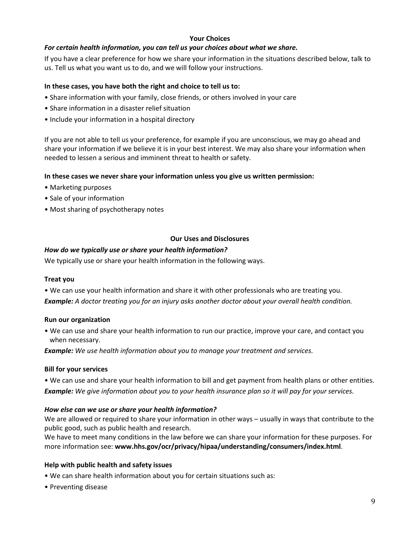# **Your Choices**

# *For certain health information, you can tell us your choices about what we share.*

If you have a clear preference for how we share your information in the situations described below, talk to us. Tell us what you want us to do, and we will follow your instructions.

## **In these cases, you have both the right and choice to tell us to:**

- Share information with your family, close friends, or others involved in your care
- Share information in a disaster relief situation
- Include your information in a hospital directory

If you are not able to tell us your preference, for example if you are unconscious, we may go ahead and share your information if we believe it is in your best interest. We may also share your information when needed to lessen a serious and imminent threat to health or safety.

#### **In these cases we never share your information unless you give us written permission:**

- Marketing purposes
- Sale of your information
- Most sharing of psychotherapy notes

# **Our Uses and Disclosures**

# *How do we typically use or share your health information?*

We typically use or share your health information in the following ways.

#### **Treat you**

• We can use your health information and share it with other professionals who are treating you.

*Example: A doctor treating you for an injury asks another doctor about your overall health condition.*

#### **Run our organization**

• We can use and share your health information to run our practice, improve your care, and contact you when necessary.

*Example: We use health information about you to manage your treatment and services.*

#### **Bill for your services**

• We can use and share your health information to bill and get payment from health plans or other entities. *Example: We give information about you to your health insurance plan so it will pay for your services.*

#### *How else can we use or share your health information?*

We are allowed or required to share your information in other ways – usually in ways that contribute to the public good, such as public health and research.

We have to meet many conditions in the law before we can share your information for these purposes. For more information see: **[www.hhs.gov/ocr/privacy/hipaa/understanding/consumers/index.html](http://www.hhs.gov/ocr/privacy/hipaa/understanding/consumers/index.html)**.

#### **Help with public health and safety issues**

- We can share health information about you for certain situations such as:
- Preventing disease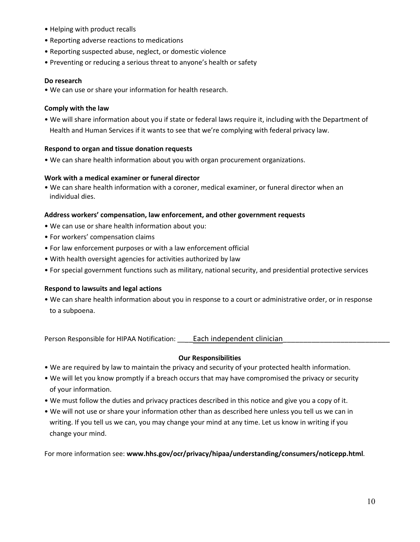- Helping with product recalls
- Reporting adverse reactions to medications
- Reporting suspected abuse, neglect, or domestic violence
- Preventing or reducing a serious threat to anyone's health or safety

#### **Do research**

• We can use or share your information for health research.

#### **Comply with the law**

• We will share information about you if state or federal laws require it, including with the Department of Health and Human Services if it wants to see that we're complying with federal privacy law.

#### **Respond to organ and tissue donation requests**

• We can share health information about you with organ procurement organizations.

## **Work with a medical examiner or funeral director**

• We can share health information with a coroner, medical examiner, or funeral director when an individual dies.

#### **Address workers' compensation, law enforcement, and other government requests**

- We can use or share health information about you:
- For workers' compensation claims
- For law enforcement purposes or with a law enforcement official
- With health oversight agencies for activities authorized by law
- For special government functions such as military, national security, and presidential protective services

#### **Respond to lawsuits and legal actions**

• We can share health information about you in response to a court or administrative order, or in response to a subpoena.

Person Responsible for HIPAA Notification: \_\_\_\_\_ Each independent clinician

#### **Our Responsibilities**

- We are required by law to maintain the privacy and security of your protected health information.
- We will let you know promptly if a breach occurs that may have compromised the privacy or security of your information.
- We must follow the duties and privacy practices described in this notice and give you a copy of it.
- We will not use or share your information other than as described here unless you tell us we can in writing. If you tell us we can, you may change your mind at any time. Let us know in writing if you change your mind.

For more information see: **[www.hhs.gov/ocr/privacy/hipaa/understanding/consumers/noticepp.html](http://www.hhs.gov/ocr/privacy/hipaa/understanding/consumers/noticepp.html)**.